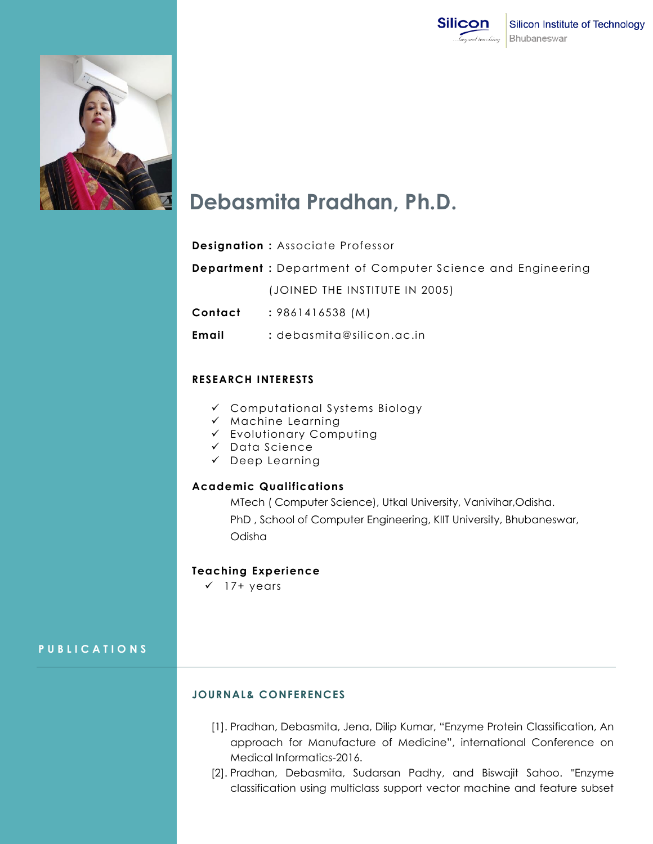



# **Debasmita Pradhan, Ph.D.**

# **Designation :** Associate Professor

- **Department :** Department of Computer Science and Engineering (JOINED THE INSTITUTE IN 2005)
- **Contact :** 9861416538 (M)
- **Email :** debasmita@silicon.ac.in

### **RESEARCH INTERESTS**

- Computational Systems Biology
- $\times$  Machine Learning
- Evolutionary Computing
- $\checkmark$  Data Science
- Deep Learning

### **Academic Qualifications**

MTech ( Computer Science), Utkal University, Vanivihar,Odisha. PhD , School of Computer Engineering, KIIT University, Bhubaneswar, Odisha

#### **Teaching Experience**

 $\times$  17+ years

# **P U B L I C A T I O N S**

### **JOURNAL& CONFERENCES**

- [1]. Pradhan, Debasmita, Jena, Dilip Kumar, "Enzyme Protein Classification, An approach for Manufacture of Medicine", international Conference on Medical Informatics-2016.
- [2]. Pradhan, Debasmita, Sudarsan Padhy, and Biswajit Sahoo. "Enzyme classification using multiclass support vector machine and feature subset